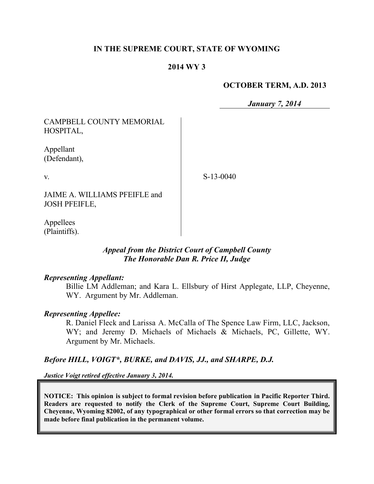## **IN THE SUPREME COURT, STATE OF WYOMING**

#### **2014 WY 3**

#### **OCTOBER TERM, A.D. 2013**

*January 7, 2014*

| CAMPBELL COUNTY MEMORIAL<br>HOSPITAL,                 |             |
|-------------------------------------------------------|-------------|
| Appellant<br>(Defendant),                             |             |
| $V_{\cdot}$                                           | $S-13-0040$ |
| JAIME A. WILLIAMS PFEIFLE and<br><b>JOSH PFEIFLE,</b> |             |
|                                                       |             |

Appellees (Plaintiffs).

## *Appeal from the District Court of Campbell County The Honorable Dan R. Price II, Judge*

#### *Representing Appellant:*

Billie LM Addleman; and Kara L. Ellsbury of Hirst Applegate, LLP, Cheyenne, WY. Argument by Mr. Addleman.

#### *Representing Appellee:*

R. Daniel Fleck and Larissa A. McCalla of The Spence Law Firm, LLC, Jackson, WY; and Jeremy D. Michaels of Michaels & Michaels, PC, Gillette, WY. Argument by Mr. Michaels.

*Before HILL, VOIGT\*, BURKE, and DAVIS, JJ., and SHARPE, D.J.*

*Justice Voigt retired effective January 3, 2014.*

**NOTICE: This opinion is subject to formal revision before publication in Pacific Reporter Third. Readers are requested to notify the Clerk of the Supreme Court, Supreme Court Building, Cheyenne, Wyoming 82002, of any typographical or other formal errors so that correction may be made before final publication in the permanent volume.**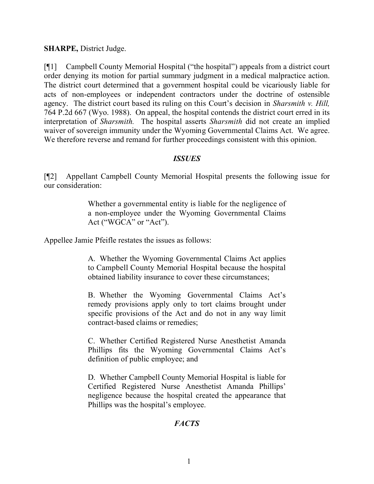## **SHARPE,** District Judge.

[¶1] Campbell County Memorial Hospital ("the hospital") appeals from a district court order denying its motion for partial summary judgment in a medical malpractice action. The district court determined that a government hospital could be vicariously liable for acts of non-employees or independent contractors under the doctrine of ostensible agency. The district court based its ruling on this Court's decision in *Sharsmith v. Hill,*  764 P.2d 667 (Wyo. 1988). On appeal, the hospital contends the district court erred in its interpretation of *Sharsmith.* The hospital asserts *Sharsmith* did not create an implied waiver of sovereign immunity under the Wyoming Governmental Claims Act.We agree. We therefore reverse and remand for further proceedings consistent with this opinion.

# *ISSUES*

[¶2] Appellant Campbell County Memorial Hospital presents the following issue for our consideration:

> Whether a governmental entity is liable for the negligence of a non-employee under the Wyoming Governmental Claims Act ("WGCA" or "Act").

Appellee Jamie Pfeifle restates the issues as follows:

A. Whether the Wyoming Governmental Claims Act applies to Campbell County Memorial Hospital because the hospital obtained liability insurance to cover these circumstances;

B. Whether the Wyoming Governmental Claims Act's remedy provisions apply only to tort claims brought under specific provisions of the Act and do not in any way limit contract-based claims or remedies;

C. Whether Certified Registered Nurse Anesthetist Amanda Phillips fits the Wyoming Governmental Claims Act's definition of public employee; and

D. Whether Campbell County Memorial Hospital is liable for Certified Registered Nurse Anesthetist Amanda Phillips' negligence because the hospital created the appearance that Phillips was the hospital's employee.

# *FACTS*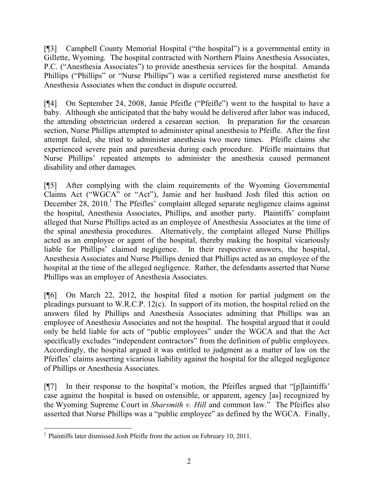[¶3] Campbell County Memorial Hospital ("the hospital") is a governmental entity in Gillette, Wyoming. The hospital contracted with Northern Plains Anesthesia Associates, P.C. ("Anesthesia Associates") to provide anesthesia services for the hospital. Amanda Phillips ("Phillips" or "Nurse Phillips") was a certified registered nurse anesthetist for Anesthesia Associates when the conduct in dispute occurred.

[¶4] On September 24, 2008, Jamie Pfeifle ("Pfeifle") went to the hospital to have a baby. Although she anticipated that the baby would be delivered after labor was induced, the attending obstetrician ordered a cesarean section. In preparation for the cesarean section, Nurse Phillips attempted to administer spinal anesthesia to Pfeifle. After the first attempt failed, she tried to administer anesthesia two more times. Pfeifle claims she experienced severe pain and paresthesia during each procedure. Pfeifle maintains that Nurse Phillips' repeated attempts to administer the anesthesia caused permanent disability and other damages.

[¶5] After complying with the claim requirements of the Wyoming Governmental Claims Act ("WGCA" or "Act"), Jamie and her husband Josh filed this action on December 28, 2010.<sup>1</sup> The Pfeifles' complaint alleged separate negligence claims against the hospital, Anesthesia Associates, Phillips, and another party. Plaintiffs' complaint alleged that Nurse Phillips acted as an employee of Anesthesia Associates at the time of the spinal anesthesia procedures. Alternatively, the complaint alleged Nurse Phillips acted as an employee or agent of the hospital, thereby making the hospital vicariously liable for Phillips' claimed negligence. In their respective answers, the hospital, Anesthesia Associates and Nurse Phillips denied that Phillips acted as an employee of the hospital at the time of the alleged negligence. Rather, the defendants asserted that Nurse Phillips was an employee of Anesthesia Associates.

[¶6] On March 22, 2012, the hospital filed a motion for partial judgment on the pleadings pursuant to W.R.C.P. 12(c). In support of its motion, the hospital relied on the answers filed by Phillips and Anesthesia Associates admitting that Phillips was an employee of Anesthesia Associates and not the hospital. The hospital argued that it could only be held liable for acts of "public employees" under the WGCA and that the Act specifically excludes "independent contractors" from the definition of public employees. Accordingly, the hospital argued it was entitled to judgment as a matter of law on the Pfeifles' claims asserting vicarious liability against the hospital for the alleged negligence of Phillips or Anesthesia Associates.

[¶7] In their response to the hospital's motion, the Pfeifles argued that "[p]laintiffs' case against the hospital is based on ostensible, or apparent, agency [as] recognized by the Wyoming Supreme Court in *Sharsmith v. Hill* and common law." The Pfeifles also asserted that Nurse Phillips was a "public employee" as defined by the WGCA. Finally,

 $\overline{a}$ <sup>1</sup> Plaintiffs later dismissed Josh Pfeifle from the action on February 10, 2011.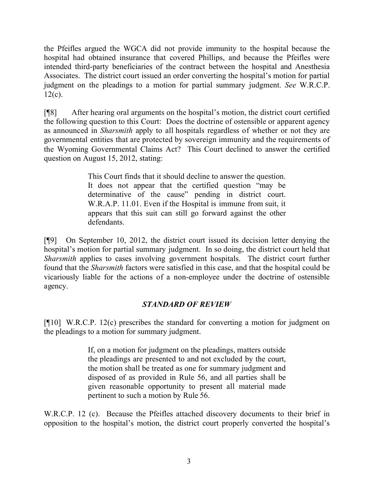the Pfeifles argued the WGCA did not provide immunity to the hospital because the hospital had obtained insurance that covered Phillips, and because the Pfeifles were intended third-party beneficiaries of the contract between the hospital and Anesthesia Associates. The district court issued an order converting the hospital's motion for partial judgment on the pleadings to a motion for partial summary judgment. *See* W.R.C.P.  $12(c)$ .

[¶8] After hearing oral arguments on the hospital's motion, the district court certified the following question to this Court: Does the doctrine of ostensible or apparent agency as announced in *Sharsmith* apply to all hospitals regardless of whether or not they are governmental entities that are protected by sovereign immunity and the requirements of the Wyoming Governmental Claims Act? This Court declined to answer the certified question on August 15, 2012, stating:

> This Court finds that it should decline to answer the question. It does not appear that the certified question "may be determinative of the cause" pending in district court. W.R.A.P. 11.01. Even if the Hospital is immune from suit, it appears that this suit can still go forward against the other defendants.

[¶9] On September 10, 2012, the district court issued its decision letter denying the hospital's motion for partial summary judgment. In so doing, the district court held that *Sharsmith* applies to cases involving government hospitals. The district court further found that the *Sharsmith* factors were satisfied in this case, and that the hospital could be vicariously liable for the actions of a non-employee under the doctrine of ostensible agency.

# *STANDARD OF REVIEW*

[¶10] W.R.C.P. 12(c) prescribes the standard for converting a motion for judgment on the pleadings to a motion for summary judgment.

> If, on a motion for judgment on the pleadings, matters outside the pleadings are presented to and not excluded by the court, the motion shall be treated as one for summary judgment and disposed of as provided in Rule 56, and all parties shall be given reasonable opportunity to present all material made pertinent to such a motion by Rule 56.

W.R.C.P. 12 (c). Because the Pfeifles attached discovery documents to their brief in opposition to the hospital's motion, the district court properly converted the hospital's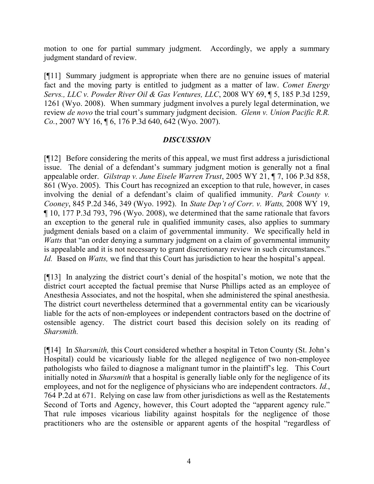motion to one for partial summary judgment. Accordingly, we apply a summary judgment standard of review.

[¶11] Summary judgment is appropriate when there are no genuine issues of material fact and the moving party is entitled to judgment as a matter of law. *Comet Energy Servs., LLC v. Powder River Oil & Gas Ventures, LLC*, 2008 WY 69, ¶ 5, 185 P.3d 1259, 1261 (Wyo. 2008). When summary judgment involves a purely legal determination, we review *de novo* the trial court's summary judgment decision. *Glenn v. Union Pacific R.R. Co.*, 2007 WY 16, ¶ 6, 176 P.3d 640, 642 (Wyo. 2007).

## *DISCUSSION*

[¶12] Before considering the merits of this appeal, we must first address a jurisdictional issue. The denial of a defendant's summary judgment motion is generally not a final appealable order. *Gilstrap v. June Eisele Warren Trust*, 2005 WY 21, ¶ 7, 106 P.3d 858, 861 (Wyo. 2005). This Court has recognized an exception to that rule, however, in cases involving the denial of a defendant's claim of qualified immunity. *Park County v. Cooney*, 845 P.2d 346, 349 (Wyo. 1992). In *State Dep't of Corr. v. Watts,* 2008 WY 19, ¶ 10, 177 P.3d 793, 796 (Wyo. 2008), we determined that the same rationale that favors an exception to the general rule in qualified immunity cases, also applies to summary judgment denials based on a claim of governmental immunity. We specifically held in *Watts* that "an order denying a summary judgment on a claim of governmental immunity is appealable and it is not necessary to grant discretionary review in such circumstances." *Id.* Based on *Watts*, we find that this Court has jurisdiction to hear the hospital's appeal.

[¶13] In analyzing the district court's denial of the hospital's motion, we note that the district court accepted the factual premise that Nurse Phillips acted as an employee of Anesthesia Associates, and not the hospital, when she administered the spinal anesthesia. The district court nevertheless determined that a governmental entity can be vicariously liable for the acts of non-employees or independent contractors based on the doctrine of ostensible agency. The district court based this decision solely on its reading of *Sharsmith.*

[¶14] In *Sharsmith,* this Court considered whether a hospital in Teton County (St. John's Hospital) could be vicariously liable for the alleged negligence of two non-employee pathologists who failed to diagnose a malignant tumor in the plaintiff's leg. This Court initially noted in *Sharsmith* that a hospital is generally liable only for the negligence of its employees, and not for the negligence of physicians who are independent contractors. *Id.*, 764 P.2d at 671. Relying on case law from other jurisdictions as well as the Restatements Second of Torts and Agency, however, this Court adopted the "apparent agency rule." That rule imposes vicarious liability against hospitals for the negligence of those practitioners who are the ostensible or apparent agents of the hospital "regardless of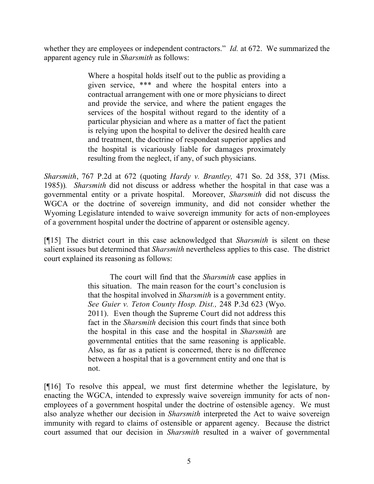whether they are employees or independent contractors." *Id.* at 672. We summarized the apparent agency rule in *Sharsmith* as follows:

> Where a hospital holds itself out to the public as providing a given service, \*\*\* and where the hospital enters into a contractual arrangement with one or more physicians to direct and provide the service, and where the patient engages the services of the hospital without regard to the identity of a particular physician and where as a matter of fact the patient is relying upon the hospital to deliver the desired health care and treatment, the doctrine of respondeat superior applies and the hospital is vicariously liable for damages proximately resulting from the neglect, if any, of such physicians.

*Sharsmith*, 767 P.2d at 672 (quoting *Hardy v. Brantley,* 471 So. 2d 358, 371 (Miss. 1985))*. Sharsmith* did not discuss or address whether the hospital in that case was a governmental entity or a private hospital. Moreover, *Sharsmith* did not discuss the WGCA or the doctrine of sovereign immunity, and did not consider whether the Wyoming Legislature intended to waive sovereign immunity for acts of non-employees of a government hospital under the doctrine of apparent or ostensible agency.

[¶15] The district court in this case acknowledged that *Sharsmith* is silent on these salient issues but determined that *Sharsmith* nevertheless applies to this case. The district court explained its reasoning as follows:

> The court will find that the *Sharsmith* case applies in this situation. The main reason for the court's conclusion is that the hospital involved in *Sharsmith* is a government entity. *See Guier v. Teton County Hosp. Dist.,* 248 P.3d 623 (Wyo. 2011). Even though the Supreme Court did not address this fact in the *Sharsmith* decision this court finds that since both the hospital in this case and the hospital in *Sharsmith* are governmental entities that the same reasoning is applicable. Also, as far as a patient is concerned, there is no difference between a hospital that is a government entity and one that is not.

[¶16] To resolve this appeal, we must first determine whether the legislature, by enacting the WGCA, intended to expressly waive sovereign immunity for acts of nonemployees of a government hospital under the doctrine of ostensible agency. We must also analyze whether our decision in *Sharsmith* interpreted the Act to waive sovereign immunity with regard to claims of ostensible or apparent agency. Because the district court assumed that our decision in *Sharsmith* resulted in a waiver of governmental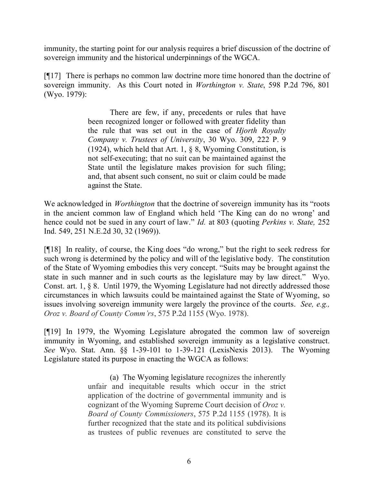immunity, the starting point for our analysis requires a brief discussion of the doctrine of sovereign immunity and the historical underpinnings of the WGCA.

[¶17] There is perhaps no common law doctrine more time honored than the doctrine of sovereign immunity. As this Court noted in *Worthington v. State*, 598 P.2d 796, 801 (Wyo. 1979):

> There are few, if any, precedents or rules that have been recognized longer or followed with greater fidelity than the rule that was set out in the case of *Hjorth Royalty Company v. Trustees of University*, 30 Wyo. 309, 222 P. 9 (1924), which held that Art. 1, § 8, Wyoming Constitution, is not self-executing; that no suit can be maintained against the State until the legislature makes provision for such filing; and, that absent such consent, no suit or claim could be made against the State.

We acknowledged in *Worthington* that the doctrine of sovereign immunity has its "roots in the ancient common law of England which held 'The King can do no wrong' and hence could not be sued in any court of law." *Id.* at 803 (quoting *Perkins v. State,* 252 Ind. 549, 251 N.E.2d 30, 32 (1969)).

[¶18] In reality, of course, the King does "do wrong," but the right to seek redress for such wrong is determined by the policy and will of the legislative body. The constitution of the State of Wyoming embodies this very concept. "Suits may be brought against the state in such manner and in such courts as the legislature may by law direct." Wyo. Const. art. 1, § 8. Until 1979, the Wyoming Legislature had not directly addressed those circumstances in which lawsuits could be maintained against the State of Wyoming, so issues involving sovereign immunity were largely the province of the courts. *See, e.g., Oroz v. Board of County Comm'rs*, 575 P.2d 1155 (Wyo. 1978).

[¶19] In 1979, the Wyoming Legislature abrogated the common law of sovereign immunity in Wyoming, and established sovereign immunity as a legislative construct. *See* Wyo. Stat. Ann. §§ 1-39-101 to 1-39-121 (LexisNexis 2013). The Wyoming Legislature stated its purpose in enacting the WGCA as follows:

> (a) The Wyoming legislature recognizes the inherently unfair and inequitable results which occur in the strict application of the doctrine of governmental immunity and is cognizant of the Wyoming Supreme Court decision of *Oroz v. Board of County Commissioners*, 575 P.2d 1155 (1978). It is further recognized that the state and its political subdivisions as trustees of public revenues are constituted to serve the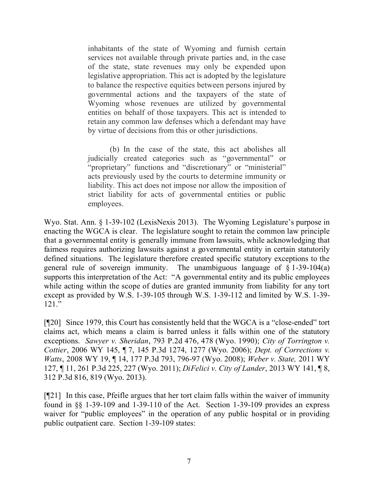inhabitants of the state of Wyoming and furnish certain services not available through private parties and, in the case of the state, state revenues may only be expended upon legislative appropriation. This act is adopted by the legislature to balance the respective equities between persons injured by governmental actions and the taxpayers of the state of Wyoming whose revenues are utilized by governmental entities on behalf of those taxpayers. This act is intended to retain any common law defenses which a defendant may have by virtue of decisions from this or other jurisdictions.

(b) In the case of the state, this act abolishes all judicially created categories such as "governmental" or "proprietary" functions and "discretionary" or "ministerial" acts previously used by the courts to determine immunity or liability. This act does not impose nor allow the imposition of strict liability for acts of governmental entities or public employees.

Wyo. Stat. Ann. § 1-39-102 (LexisNexis 2013). The Wyoming Legislature's purpose in enacting the WGCA is clear. The legislature sought to retain the common law principle that a governmental entity is generally immune from lawsuits, while acknowledging that fairness requires authorizing lawsuits against a governmental entity in certain statutorily defined situations. The legislature therefore created specific statutory exceptions to the general rule of sovereign immunity. The unambiguous language of  $\S$  1-39-104(a) supports this interpretation of the Act: "A governmental entity and its public employees while acting within the scope of duties are granted immunity from liability for any tort except as provided by W.S. 1-39-105 through W.S. 1-39-112 and limited by W.S. 1-39- 121."

[¶20] Since 1979, this Court has consistently held that the WGCA is a "close-ended" tort claims act, which means a claim is barred unless it falls within one of the statutory exceptions. *Sawyer v. Sheridan*, 793 P.2d 476, 478 (Wyo. 1990); *City of Torrington v. Cottier*, 2006 WY 145, ¶ 7, 145 P.3d 1274, 1277 (Wyo. 2006); *Dept. of Corrections v. Watts*, 2008 WY 19, ¶ 14, 177 P.3d 793, 796-97 (Wyo. 2008); *Weber v. State,* 2011 WY 127, ¶ 11, 261 P.3d 225, 227 (Wyo. 2011); *DiFelici v. City of Lander*, 2013 WY 141, ¶ 8, 312 P.3d 816, 819 (Wyo. 2013).

[¶21] In this case, Pfeifle argues that her tort claim falls within the waiver of immunity found in §§ 1-39-109 and 1-39-110 of the Act. Section 1-39-109 provides an express waiver for "public employees" in the operation of any public hospital or in providing public outpatient care. Section 1-39-109 states: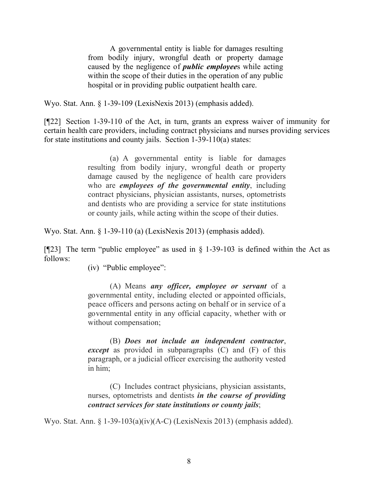A governmental entity is liable for damages resulting from bodily injury, wrongful death or property damage caused by the negligence of *public employee*s while acting within the scope of their duties in the operation of any public hospital or in providing public outpatient health care.

Wyo. Stat. Ann. § 1-39-109 (LexisNexis 2013) (emphasis added).

[¶22] Section 1-39-110 of the Act, in turn, grants an express waiver of immunity for certain health care providers, including contract physicians and nurses providing services for state institutions and county jails. Section 1-39-110(a) states:

> (a) A governmental entity is liable for damages resulting from bodily injury, wrongful death or property damage caused by the negligence of health care providers who are *employees of the governmental entity*, including contract physicians, physician assistants, nurses, optometrists and dentists who are providing a service for state institutions or county jails, while acting within the scope of their duties.

Wyo. Stat. Ann. § 1-39-110 (a) (LexisNexis 2013) (emphasis added).

[ $[923]$ ] The term "public employee" as used in  $\S$  1-39-103 is defined within the Act as follows:

(iv) "Public employee":

(A) Means *any officer, employee or servant* of a governmental entity, including elected or appointed officials, peace officers and persons acting on behalf or in service of a governmental entity in any official capacity, whether with or without compensation;

(B) *Does not include an independent contractor*, *except* as provided in subparagraphs (C) and (F) of this paragraph, or a judicial officer exercising the authority vested in him;

(C) Includes contract physicians, physician assistants, nurses, optometrists and dentists *in the course of providing contract services for state institutions or county jails*;

Wyo. Stat. Ann. § 1-39-103(a)(iv)(A-C) (LexisNexis 2013) (emphasis added).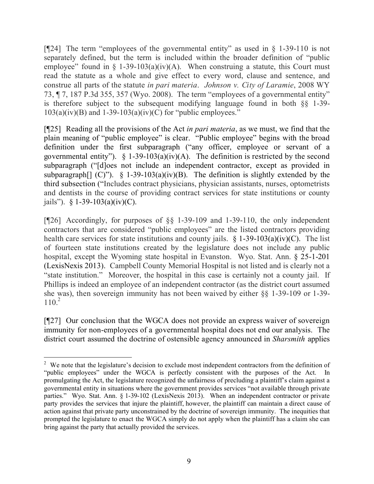[¶24] The term "employees of the governmental entity" as used in § 1-39-110 is not separately defined, but the term is included within the broader definition of "public employee" found in  $\S$  1-39-103(a)(iv)(A). When construing a statute, this Court must read the statute as a whole and give effect to every word, clause and sentence, and construe all parts of the statute *in pari materia*. *Johnson v. City of Laramie*, 2008 WY 73, ¶ 7, 187 P.3d 355, 357 (Wyo. 2008). The term "employees of a governmental entity" is therefore subject to the subsequent modifying language found in both §§ 1-39-  $103(a)(iv)(B)$  and  $1-39-103(a)(iv)(C)$  for "public employees."

[¶25] Reading all the provisions of the Act *in pari materia*, as we must, we find that the plain meaning of "public employee" is clear. "Public employee" begins with the broad definition under the first subparagraph ("any officer, employee or servant of a governmental entity").  $\S$  1-39-103(a)(iv)(A). The definition is restricted by the second subparagraph ("[d]oes not include an independent contractor, except as provided in subparagraph<sup>[]</sup> (C)"). § 1-39-103(a)(iv)(B). The definition is slightly extended by the third subsection ("Includes contract physicians, physician assistants, nurses, optometrists and dentists in the course of providing contract services for state institutions or county jails"). § 1-39-103(a)(iv)(C).

[¶26] Accordingly, for purposes of §§ 1-39-109 and 1-39-110, the only independent contractors that are considered "public employees" are the listed contractors providing health care services for state institutions and county jails.  $\S$  1-39-103(a)(iv)(C). The list of fourteen state institutions created by the legislature does not include any public hospital, except the Wyoming state hospital in Evanston. Wyo. Stat. Ann. § 25-1-201 (LexisNexis 2013). Campbell County Memorial Hospital is not listed and is clearly not a "state institution." Moreover, the hospital in this case is certainly not a county jail. If Phillips is indeed an employee of an independent contractor (as the district court assumed she was), then sovereign immunity has not been waived by either §§ 1-39-109 or 1-39-  $110.<sup>2</sup>$ 

[¶27] Our conclusion that the WGCA does not provide an express waiver of sovereign immunity for non-employees of a governmental hospital does not end our analysis. The district court assumed the doctrine of ostensible agency announced in *Sharsmith* applies

 $2$  We note that the legislature's decision to exclude most independent contractors from the definition of "public employees" under the WGCA is perfectly consistent with the purposes of the Act. In promulgating the Act, the legislature recognized the unfairness of precluding a plaintiff's claim against a governmental entity in situations where the government provides services "not available through private parties." Wyo. Stat. Ann. § 1-39-102 (LexisNexis 2013). When an independent contractor or private party provides the services that injure the plaintiff, however, the plaintiff can maintain a direct cause of action against that private party unconstrained by the doctrine of sovereign immunity. The inequities that prompted the legislature to enact the WGCA simply do not apply when the plaintiff has a claim she can bring against the party that actually provided the services.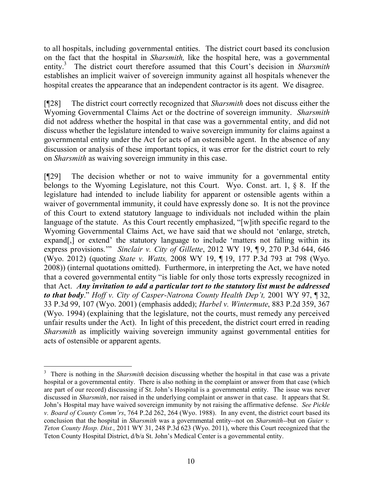to all hospitals, including governmental entities. The district court based its conclusion on the fact that the hospital in *Sharsmith,* like the hospital here, was a governmental entity.<sup>3</sup> The district court therefore assumed that this Court's decision in *Sharsmith* establishes an implicit waiver of sovereign immunity against all hospitals whenever the hospital creates the appearance that an independent contractor is its agent. We disagree.

[¶28] The district court correctly recognized that *Sharsmith* does not discuss either the Wyoming Governmental Claims Act or the doctrine of sovereign immunity. *Sharsmith*  did not address whether the hospital in that case was a governmental entity, and did not discuss whether the legislature intended to waive sovereign immunity for claims against a governmental entity under the Act for acts of an ostensible agent. In the absence of any discussion or analysis of these important topics, it was error for the district court to rely on *Sharsmith* as waiving sovereign immunity in this case.

[¶29] The decision whether or not to waive immunity for a governmental entity belongs to the Wyoming Legislature, not this Court. Wyo. Const. art. 1, § 8. If the legislature had intended to include liability for apparent or ostensible agents within a waiver of governmental immunity, it could have expressly done so. It is not the province of this Court to extend statutory language to individuals not included within the plain language of the statute. As this Court recently emphasized, "[w]ith specific regard to the Wyoming Governmental Claims Act, we have said that we should not 'enlarge, stretch, expand[,] or extend' the statutory language to include 'matters not falling within its express provisions.'" *Sinclair v. City of Gillette*, 2012 WY 19, ¶ 9, 270 P.3d 644, 646 (Wyo. 2012) (quoting *State v. Watts,* 2008 WY 19, ¶ 19, 177 P.3d 793 at 798 (Wyo. 2008)) (internal quotations omitted). Furthermore, in interpreting the Act, we have noted that a covered governmental entity "is liable for only those torts expressly recognized in that Act. *Any invitation to add a particular tort to the statutory list must be addressed to that body*." *Hoff v. City of Casper-Natrona County Health Dep't,* 2001 WY 97, ¶ 32, 33 P.3d 99, 107 (Wyo. 2001) (emphasis added); *Harbel v. Wintermute*, 883 P.2d 359, 367 (Wyo. 1994) (explaining that the legislature, not the courts, must remedy any perceived unfair results under the Act). In light of this precedent, the district court erred in reading *Sharsmith* as implicitly waiving sovereign immunity against governmental entities for acts of ostensible or apparent agents.

 $\overline{a}$ 

<sup>&</sup>lt;sup>3</sup> There is nothing in the *Sharsmith* decision discussing whether the hospital in that case was a private hospital or a governmental entity. There is also nothing in the complaint or answer from that case (which are part of our record) discussing if St. John's Hospital is a governmental entity. The issue was never discussed in *Sharsmith*, nor raised in the underlying complaint or answer in that case. It appears that St. John's Hospital may have waived sovereign immunity by not raising the affirmative defense. *See Pickle v. Board of County Comm'rs*, 764 P.2d 262, 264 (Wyo. 1988). In any event, the district court based its conclusion that the hospital in *Sharsmith* was a governmental entity--not on *Sharsmith--*but on *Guier v. Teton County Hosp. Dist.*, 2011 WY 31, 248 P.3d 623 (Wyo. 2011), where this Court recognized that the Teton County Hospital District, d/b/a St. John's Medical Center is a governmental entity.